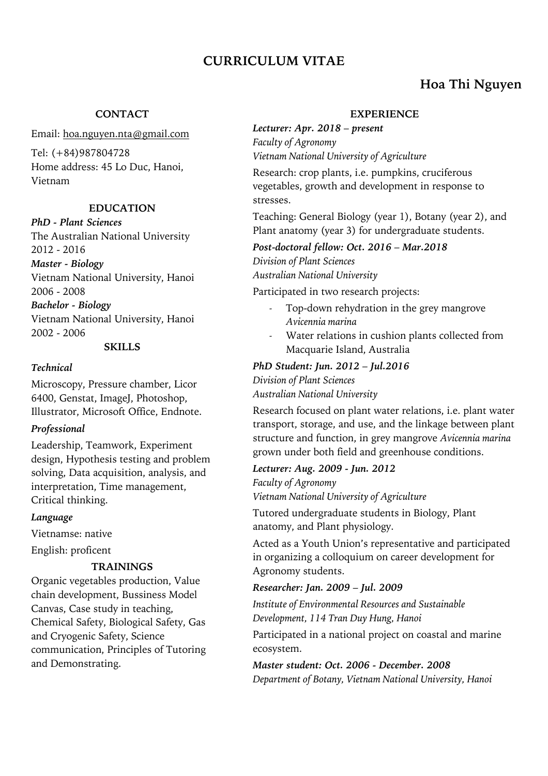# **CURRICULUM VITAE**

# **Hoa Thi Nguyen**

# **CONTACT**

Email: hoa.nguyen.nta@gmail.com

Tel: (+84)987804728 Home address: 45 Lo Duc, Hanoi, Vietnam

# **EDUCATION**

*PhD - Plant Sciences* The Australian National University 2012 - 2016

*Master - Biology* Vietnam National University, Hanoi 2006 - 2008

*Bachelor - Biology* Vietnam National University, Hanoi 2002 - 2006

#### **SKILLS**

#### *Technical*

Microscopy, Pressure chamber, Licor 6400, Genstat, ImageJ, Photoshop, Illustrator, Microsoft Office, Endnote.

# *Professional*

Leadership, Teamwork, Experiment design, Hypothesis testing and problem solving, Data acquisition, analysis, and interpretation, Time management, Critical thinking.

# *Language*

Vietnamse: native

English: proficent

# **TRAININGS**

Organic vegetables production, Value chain development, Bussiness Model Canvas, Case study in teaching, Chemical Safety, Biological Safety, Gas and Cryogenic Safety, Science communication, Principles of Tutoring and Demonstrating.

### **EXPERIENCE**

*Lecturer: Apr. 2018 – present Faculty of Agronomy Vietnam National University of Agriculture*

Research: crop plants, i.e. pumpkins, cruciferous vegetables, growth and development in response to stresses.

Teaching: General Biology (year 1), Botany (year 2), and Plant anatomy (year 3) for undergraduate students.

*Post-doctoral fellow: Oct. 2016 – Mar.2018 Division of Plant Sciences Australian National University*

Participated in two research projects:

- Top-down rehydration in the grey mangrove *Avicennia marina*
- Water relations in cushion plants collected from Macquarie Island, Australia

# *PhD Student: Jun. 2012 – Jul.2016*

*Division of Plant Sciences Australian National University*

Research focused on plant water relations, i.e. plant water transport, storage, and use, and the linkage between plant structure and function, in grey mangrove *Avicennia marina* grown under both field and greenhouse conditions.

*Lecturer: Aug. 2009 - Jun. 2012 Faculty of Agronomy Vietnam National University of Agriculture*

Tutored undergraduate students in Biology, Plant anatomy, and Plant physiology.

Acted as a Youth Union's representative and participated in organizing a colloquium on career development for Agronomy students.

# *Researcher: Jan. 2009 – Jul. 2009*

*Institute of Environmental Resources and Sustainable Development, 114 Tran Duy Hung, Hanoi*

Participated in a national project on coastal and marine ecosystem.

*Master student: Oct. 2006 - December. 2008 Department of Botany, Vietnam National University, Hanoi*